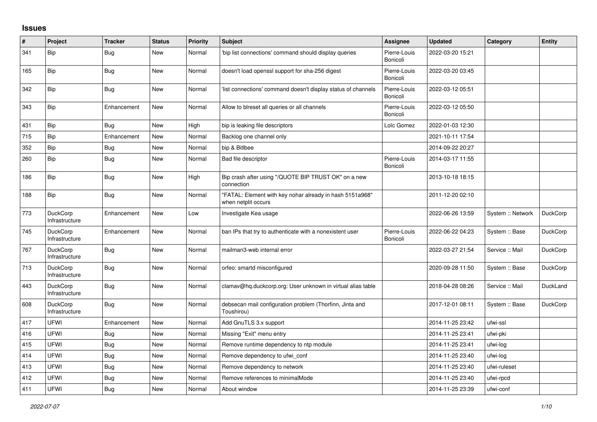## **Issues**

| $\vert$ # | Project                           | <b>Tracker</b> | <b>Status</b> | <b>Priority</b> | <b>Subject</b>                                                                  | Assignee                 | <b>Updated</b>   | Category          | <b>Entity</b>   |
|-----------|-----------------------------------|----------------|---------------|-----------------|---------------------------------------------------------------------------------|--------------------------|------------------|-------------------|-----------------|
| 341       | <b>Bip</b>                        | <b>Bug</b>     | <b>New</b>    | Normal          | 'bip list connections' command should display queries                           | Pierre-Louis<br>Bonicoli | 2022-03-20 15:21 |                   |                 |
| 165       | Bip                               | <b>Bug</b>     | <b>New</b>    | Normal          | doesn't load openssl support for sha-256 digest                                 | Pierre-Louis<br>Bonicoli | 2022-03-20 03:45 |                   |                 |
| 342       | Bip                               | <b>Bug</b>     | <b>New</b>    | Normal          | list connections' command doesn't display status of channels                    | Pierre-Louis<br>Bonicoli | 2022-03-12 05:51 |                   |                 |
| 343       | Bip                               | Enhancement    | <b>New</b>    | Normal          | Allow to blreset all queries or all channels                                    | Pierre-Louis<br>Bonicoli | 2022-03-12 05:50 |                   |                 |
| 431       | Bip                               | Bug            | <b>New</b>    | High            | bip is leaking file descriptors                                                 | Loïc Gomez               | 2022-01-03 12:30 |                   |                 |
| 715       | Bip                               | Enhancement    | New           | Normal          | Backlog one channel only                                                        |                          | 2021-10-11 17:54 |                   |                 |
| 352       | Bip                               | <b>Bug</b>     | New           | Normal          | bip & Bitlbee                                                                   |                          | 2014-09-22 20:27 |                   |                 |
| 260       | Bip                               | Bug            | New           | Normal          | Bad file descriptor                                                             | Pierre-Louis<br>Bonicoli | 2014-03-17 11:55 |                   |                 |
| 186       | Bip                               | Bug            | <b>New</b>    | High            | Bip crash after using "/QUOTE BIP TRUST OK" on a new<br>connection              |                          | 2013-10-18 18:15 |                   |                 |
| 188       | Bip                               | Bug            | <b>New</b>    | Normal          | "FATAL: Element with key nohar already in hash 5151a968"<br>when netplit occurs |                          | 2011-12-20 02:10 |                   |                 |
| 773       | DuckCorp<br>Infrastructure        | Enhancement    | <b>New</b>    | Low             | Investigate Kea usage                                                           |                          | 2022-06-26 13:59 | System :: Network | DuckCorp        |
| 745       | <b>DuckCorp</b><br>Infrastructure | Enhancement    | <b>New</b>    | Normal          | ban IPs that try to authenticate with a nonexistent user                        | Pierre-Louis<br>Bonicoli | 2022-06-22 04:23 | System :: Base    | DuckCorp        |
| 767       | <b>DuckCorp</b><br>Infrastructure | Bug            | <b>New</b>    | Normal          | mailman3-web internal error                                                     |                          | 2022-03-27 21:54 | Service :: Mail   | DuckCorp        |
| 713       | <b>DuckCorp</b><br>Infrastructure | <b>Bug</b>     | <b>New</b>    | Normal          | orfeo: smartd misconfigured                                                     |                          | 2020-09-28 11:50 | System :: Base    | DuckCorp        |
| 443       | DuckCorp<br>Infrastructure        | <b>Bug</b>     | <b>New</b>    | Normal          | clamav@hq.duckcorp.org: User unknown in virtual alias table                     |                          | 2018-04-28 08:26 | Service :: Mail   | DuckLand        |
| 608       | DuckCorp<br>Infrastructure        | Bug            | <b>New</b>    | Normal          | debsecan mail configuration problem (Thorfinn, Jinta and<br>Toushirou)          |                          | 2017-12-01 08:11 | System :: Base    | <b>DuckCorp</b> |
| 417       | <b>UFWI</b>                       | Enhancement    | <b>New</b>    | Normal          | Add GnuTLS 3.x support                                                          |                          | 2014-11-25 23:42 | ufwi-ssl          |                 |
| 416       | <b>UFWI</b>                       | <b>Bug</b>     | <b>New</b>    | Normal          | Missing "Exit" menu entry                                                       |                          | 2014-11-25 23:41 | ufwi-pki          |                 |
| 415       | <b>UFWI</b>                       | Bug            | <b>New</b>    | Normal          | Remove runtime dependency to ntp module                                         |                          | 2014-11-25 23:41 | ufwi-log          |                 |
| 414       | <b>UFWI</b>                       | <b>Bug</b>     | <b>New</b>    | Normal          | Remove dependency to ufwi_conf                                                  |                          | 2014-11-25 23:40 | ufwi-loa          |                 |
| 413       | UFWI                              | Bug            | New           | Normal          | Remove dependency to network                                                    |                          | 2014-11-25 23:40 | ufwi-ruleset      |                 |
| 412       | <b>UFWI</b>                       | <b>Bug</b>     | <b>New</b>    | Normal          | Remove references to minimalMode                                                |                          | 2014-11-25 23:40 | ufwi-rpcd         |                 |
| 411       | <b>UFWI</b>                       | Bug            | <b>New</b>    | Normal          | About window                                                                    |                          | 2014-11-25 23:39 | ufwi-conf         |                 |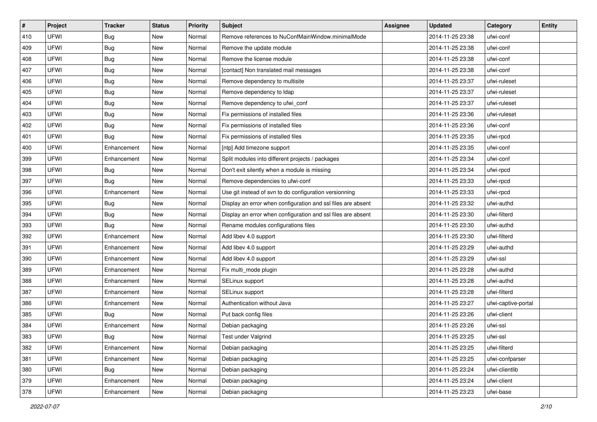| #   | Project     | <b>Tracker</b> | <b>Status</b> | <b>Priority</b> | <b>Subject</b>                                               | <b>Assignee</b> | <b>Updated</b>   | Category            | Entity |
|-----|-------------|----------------|---------------|-----------------|--------------------------------------------------------------|-----------------|------------------|---------------------|--------|
| 410 | <b>UFWI</b> | <b>Bug</b>     | New           | Normal          | Remove references to NuConfMainWindow.minimalMode            |                 | 2014-11-25 23:38 | ufwi-conf           |        |
| 409 | <b>UFWI</b> | Bug            | New           | Normal          | Remove the update module                                     |                 | 2014-11-25 23:38 | ufwi-conf           |        |
| 408 | <b>UFWI</b> | Bug            | New           | Normal          | Remove the license module                                    |                 | 2014-11-25 23:38 | ufwi-conf           |        |
| 407 | <b>UFWI</b> | <b>Bug</b>     | New           | Normal          | [contact] Non translated mail messages                       |                 | 2014-11-25 23:38 | ufwi-conf           |        |
| 406 | <b>UFWI</b> | Bug            | New           | Normal          | Remove dependency to multisite                               |                 | 2014-11-25 23:37 | ufwi-ruleset        |        |
| 405 | <b>UFWI</b> | <b>Bug</b>     | New           | Normal          | Remove dependency to Idap                                    |                 | 2014-11-25 23:37 | ufwi-ruleset        |        |
| 404 | <b>UFWI</b> | Bug            | New           | Normal          | Remove dependency to ufwi_conf                               |                 | 2014-11-25 23:37 | ufwi-ruleset        |        |
| 403 | UFWI        | Bug            | New           | Normal          | Fix permissions of installed files                           |                 | 2014-11-25 23:36 | ufwi-ruleset        |        |
| 402 | UFWI        | Bug            | New           | Normal          | Fix permissions of installed files                           |                 | 2014-11-25 23:36 | ufwi-conf           |        |
| 401 | <b>UFWI</b> | Bug            | New           | Normal          | Fix permissions of installed files                           |                 | 2014-11-25 23:35 | ufwi-rpcd           |        |
| 400 | UFWI        | Enhancement    | New           | Normal          | [ntp] Add timezone support                                   |                 | 2014-11-25 23:35 | ufwi-conf           |        |
| 399 | UFWI        | Enhancement    | New           | Normal          | Split modules into different projects / packages             |                 | 2014-11-25 23:34 | ufwi-conf           |        |
| 398 | <b>UFWI</b> | <b>Bug</b>     | New           | Normal          | Don't exit silently when a module is missing                 |                 | 2014-11-25 23:34 | ufwi-rpcd           |        |
| 397 | UFWI        | Bug            | New           | Normal          | Remove dependencies to ufwi-conf                             |                 | 2014-11-25 23:33 | ufwi-rpcd           |        |
| 396 | <b>UFWI</b> | Enhancement    | New           | Normal          | Use git instead of svn to do configuration versionning       |                 | 2014-11-25 23:33 | ufwi-rpcd           |        |
| 395 | <b>UFWI</b> | Bug            | New           | Normal          | Display an error when configuration and ssl files are absent |                 | 2014-11-25 23:32 | ufwi-authd          |        |
| 394 | <b>UFWI</b> | <b>Bug</b>     | New           | Normal          | Display an error when configuration and ssl files are absent |                 | 2014-11-25 23:30 | ufwi-filterd        |        |
| 393 | <b>UFWI</b> | Bug            | New           | Normal          | Rename modules configurations files                          |                 | 2014-11-25 23:30 | ufwi-authd          |        |
| 392 | UFWI        | Enhancement    | New           | Normal          | Add libev 4.0 support                                        |                 | 2014-11-25 23:30 | ufwi-filterd        |        |
| 391 | <b>UFWI</b> | Enhancement    | New           | Normal          | Add libev 4.0 support                                        |                 | 2014-11-25 23:29 | ufwi-authd          |        |
| 390 | UFWI        | Enhancement    | New           | Normal          | Add libev 4.0 support                                        |                 | 2014-11-25 23:29 | ufwi-ssl            |        |
| 389 | <b>UFWI</b> | Enhancement    | New           | Normal          | Fix multi_mode plugin                                        |                 | 2014-11-25 23:28 | ufwi-authd          |        |
| 388 | UFWI        | Enhancement    | New           | Normal          | SELinux support                                              |                 | 2014-11-25 23:28 | ufwi-authd          |        |
| 387 | UFWI        | Enhancement    | New           | Normal          | SELinux support                                              |                 | 2014-11-25 23:28 | ufwi-filterd        |        |
| 386 | <b>UFWI</b> | Enhancement    | New           | Normal          | Authentication without Java                                  |                 | 2014-11-25 23:27 | ufwi-captive-portal |        |
| 385 | <b>UFWI</b> | <b>Bug</b>     | New           | Normal          | Put back config files                                        |                 | 2014-11-25 23:26 | ufwi-client         |        |
| 384 | UFWI        | Enhancement    | New           | Normal          | Debian packaging                                             |                 | 2014-11-25 23:26 | ufwi-ssl            |        |
| 383 | UFWI        | Bug            | New           | Normal          | Test under Valgrind                                          |                 | 2014-11-25 23:25 | ufwi-ssl            |        |
| 382 | UFWI        | Enhancement    | New           | Normal          | Debian packaging                                             |                 | 2014-11-25 23:25 | ufwi-filterd        |        |
| 381 | UFWI        | Enhancement    | New           | Normal          | Debian packaging                                             |                 | 2014-11-25 23:25 | ufwi-confparser     |        |
| 380 | UFWI        | Bug            | New           | Normal          | Debian packaging                                             |                 | 2014-11-25 23:24 | ufwi-clientlib      |        |
| 379 | UFWI        | Enhancement    | New           | Normal          | Debian packaging                                             |                 | 2014-11-25 23:24 | ufwi-client         |        |
| 378 | UFWI        | Enhancement    | New           | Normal          | Debian packaging                                             |                 | 2014-11-25 23:23 | ufwi-base           |        |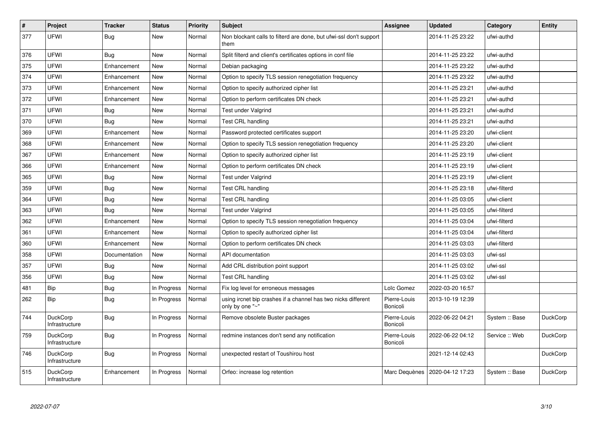| $\#$ | Project                           | <b>Tracker</b> | <b>Status</b> | <b>Priority</b> | <b>Subject</b>                                                                   | Assignee                 | <b>Updated</b>   | Category       | Entity          |
|------|-----------------------------------|----------------|---------------|-----------------|----------------------------------------------------------------------------------|--------------------------|------------------|----------------|-----------------|
| 377  | <b>UFWI</b>                       | Bug            | <b>New</b>    | Normal          | Non blockant calls to filterd are done, but ufwi-ssl don't support<br>them       |                          | 2014-11-25 23:22 | ufwi-authd     |                 |
| 376  | UFWI                              | Bug            | New           | Normal          | Split filterd and client's certificates options in conf file                     |                          | 2014-11-25 23:22 | ufwi-authd     |                 |
| 375  | <b>UFWI</b>                       | Enhancement    | <b>New</b>    | Normal          | Debian packaging                                                                 |                          | 2014-11-25 23:22 | ufwi-authd     |                 |
| 374  | <b>UFWI</b>                       | Enhancement    | <b>New</b>    | Normal          | Option to specify TLS session renegotiation frequency                            |                          | 2014-11-25 23:22 | ufwi-authd     |                 |
| 373  | <b>UFWI</b>                       | Enhancement    | New           | Normal          | Option to specify authorized cipher list                                         |                          | 2014-11-25 23:21 | ufwi-authd     |                 |
| 372  | <b>UFWI</b>                       | Enhancement    | <b>New</b>    | Normal          | Option to perform certificates DN check                                          |                          | 2014-11-25 23:21 | ufwi-authd     |                 |
| 371  | <b>UFWI</b>                       | <b>Bug</b>     | <b>New</b>    | Normal          | Test under Valgrind                                                              |                          | 2014-11-25 23:21 | ufwi-authd     |                 |
| 370  | <b>UFWI</b>                       | Bug            | New           | Normal          | Test CRL handling                                                                |                          | 2014-11-25 23:21 | ufwi-authd     |                 |
| 369  | <b>UFWI</b>                       | Enhancement    | New           | Normal          | Password protected certificates support                                          |                          | 2014-11-25 23:20 | ufwi-client    |                 |
| 368  | <b>UFWI</b>                       | Enhancement    | New           | Normal          | Option to specify TLS session renegotiation frequency                            |                          | 2014-11-25 23:20 | ufwi-client    |                 |
| 367  | <b>UFWI</b>                       | Enhancement    | <b>New</b>    | Normal          | Option to specify authorized cipher list                                         |                          | 2014-11-25 23:19 | ufwi-client    |                 |
| 366  | <b>UFWI</b>                       | Enhancement    | <b>New</b>    | Normal          | Option to perform certificates DN check                                          |                          | 2014-11-25 23:19 | ufwi-client    |                 |
| 365  | <b>UFWI</b>                       | <b>Bug</b>     | New           | Normal          | Test under Valgrind                                                              |                          | 2014-11-25 23:19 | ufwi-client    |                 |
| 359  | <b>UFWI</b>                       | <b>Bug</b>     | <b>New</b>    | Normal          | <b>Test CRL handling</b>                                                         |                          | 2014-11-25 23:18 | ufwi-filterd   |                 |
| 364  | <b>UFWI</b>                       | Bug            | <b>New</b>    | Normal          | Test CRL handling                                                                |                          | 2014-11-25 03:05 | ufwi-client    |                 |
| 363  | <b>UFWI</b>                       | Bug            | New           | Normal          | Test under Valgrind                                                              |                          | 2014-11-25 03:05 | ufwi-filterd   |                 |
| 362  | <b>UFWI</b>                       | Enhancement    | New           | Normal          | Option to specify TLS session renegotiation frequency                            |                          | 2014-11-25 03:04 | ufwi-filterd   |                 |
| 361  | <b>UFWI</b>                       | Enhancement    | <b>New</b>    | Normal          | Option to specify authorized cipher list                                         |                          | 2014-11-25 03:04 | ufwi-filterd   |                 |
| 360  | UFWI                              | Enhancement    | New           | Normal          | Option to perform certificates DN check                                          |                          | 2014-11-25 03:03 | ufwi-filterd   |                 |
| 358  | <b>UFWI</b>                       | Documentation  | <b>New</b>    | Normal          | API documentation                                                                |                          | 2014-11-25 03:03 | ufwi-ssl       |                 |
| 357  | <b>UFWI</b>                       | <b>Bug</b>     | New           | Normal          | Add CRL distribution point support                                               |                          | 2014-11-25 03:02 | ufwi-ssl       |                 |
| 356  | <b>UFWI</b>                       | Bug            | <b>New</b>    | Normal          | <b>Test CRL handling</b>                                                         |                          | 2014-11-25 03:02 | ufwi-ssl       |                 |
| 481  | Bip                               | <b>Bug</b>     | In Progress   | Normal          | Fix log level for erroneous messages                                             | Loïc Gomez               | 2022-03-20 16:57 |                |                 |
| 262  | Bip                               | Bug            | In Progress   | Normal          | using ircnet bip crashes if a channel has two nicks different<br>only by one "~" | Pierre-Louis<br>Bonicoli | 2013-10-19 12:39 |                |                 |
| 744  | <b>DuckCorp</b><br>Infrastructure | Bug            | In Progress   | Normal          | Remove obsolete Buster packages                                                  | Pierre-Louis<br>Bonicoli | 2022-06-22 04:21 | System :: Base | DuckCorp        |
| 759  | <b>DuckCorp</b><br>Infrastructure | <b>Bug</b>     | In Progress   | Normal          | redmine instances don't send any notification                                    | Pierre-Louis<br>Bonicoli | 2022-06-22 04:12 | Service: Web   | <b>DuckCorp</b> |
| 746  | <b>DuckCorp</b><br>Infrastructure | Bug            | In Progress   | Normal          | unexpected restart of Toushirou host                                             |                          | 2021-12-14 02:43 |                | <b>DuckCorp</b> |
| 515  | <b>DuckCorp</b><br>Infrastructure | Enhancement    | In Progress   | Normal          | Orfeo: increase log retention                                                    | Marc Dequènes            | 2020-04-12 17:23 | System :: Base | <b>DuckCorp</b> |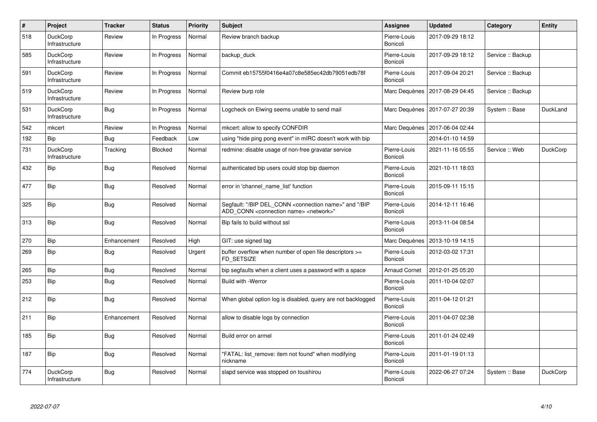| $\pmb{\#}$ | Project                           | <b>Tracker</b> | <b>Status</b>  | <b>Priority</b> | <b>Subject</b>                                                                                                                            | <b>Assignee</b>          | <b>Updated</b>   | Category          | Entity          |
|------------|-----------------------------------|----------------|----------------|-----------------|-------------------------------------------------------------------------------------------------------------------------------------------|--------------------------|------------------|-------------------|-----------------|
| 518        | <b>DuckCorp</b><br>Infrastructure | Review         | In Progress    | Normal          | Review branch backup                                                                                                                      | Pierre-Louis<br>Bonicoli | 2017-09-29 18:12 |                   |                 |
| 585        | <b>DuckCorp</b><br>Infrastructure | Review         | In Progress    | Normal          | backup_duck                                                                                                                               | Pierre-Louis<br>Bonicoli | 2017-09-29 18:12 | Service :: Backup |                 |
| 591        | <b>DuckCorp</b><br>Infrastructure | Review         | In Progress    | Normal          | Commit eb15755f0416e4a07c8e585ec42db79051edb78f                                                                                           | Pierre-Louis<br>Bonicoli | 2017-09-04 20:21 | Service :: Backup |                 |
| 519        | <b>DuckCorp</b><br>Infrastructure | Review         | In Progress    | Normal          | Review burp role                                                                                                                          | Marc Dequènes            | 2017-08-29 04:45 | Service :: Backup |                 |
| 531        | <b>DuckCorp</b><br>Infrastructure | Bug            | In Progress    | Normal          | Logcheck on Elwing seems unable to send mail                                                                                              | Marc Dequènes            | 2017-07-27 20:39 | System :: Base    | DuckLand        |
| 542        | mkcert                            | Review         | In Progress    | Normal          | mkcert: allow to specify CONFDIR                                                                                                          | Marc Dequènes            | 2017-06-04 02:44 |                   |                 |
| 192        | <b>Bip</b>                        | Bug            | Feedback       | Low             | using "hide ping pong event" in mIRC doesn't work with bip                                                                                |                          | 2014-01-10 14:59 |                   |                 |
| 731        | <b>DuckCorp</b><br>Infrastructure | Tracking       | <b>Blocked</b> | Normal          | redmine: disable usage of non-free gravatar service                                                                                       | Pierre-Louis<br>Bonicoli | 2021-11-16 05:55 | Service: Web      | <b>DuckCorp</b> |
| 432        | <b>Bip</b>                        | Bug            | Resolved       | Normal          | authenticated bip users could stop bip daemon                                                                                             | Pierre-Louis<br>Bonicoli | 2021-10-11 18:03 |                   |                 |
| 477        | Bip                               | Bug            | Resolved       | Normal          | error in 'channel name list' function                                                                                                     | Pierre-Louis<br>Bonicoli | 2015-09-11 15:15 |                   |                 |
| 325        | Bip                               | <b>Bug</b>     | Resolved       | Normal          | Segfault: "/BIP DEL_CONN <connection name="">" and "/BIP<br/>ADD CONN <connection name=""> <network>"</network></connection></connection> | Pierre-Louis<br>Bonicoli | 2014-12-11 16:46 |                   |                 |
| 313        | Bip                               | <b>Bug</b>     | Resolved       | Normal          | Bip fails to build without ssl                                                                                                            | Pierre-Louis<br>Bonicoli | 2013-11-04 08:54 |                   |                 |
| 270        | <b>Bip</b>                        | Enhancement    | Resolved       | High            | GIT: use signed tag                                                                                                                       | Marc Dequènes            | 2013-10-19 14:15 |                   |                 |
| 269        | Bip                               | Bug            | Resolved       | Urgent          | buffer overflow when number of open file descriptors >=<br>FD SETSIZE                                                                     | Pierre-Louis<br>Bonicoli | 2012-03-02 17:31 |                   |                 |
| 265        | <b>Bip</b>                        | Bug            | Resolved       | Normal          | bip segfaults when a client uses a password with a space                                                                                  | <b>Arnaud Cornet</b>     | 2012-01-25 05:20 |                   |                 |
| 253        | Bip                               | Bug            | Resolved       | Normal          | <b>Build with -Werror</b>                                                                                                                 | Pierre-Louis<br>Bonicoli | 2011-10-04 02:07 |                   |                 |
| 212        | <b>Bip</b>                        | <b>Bug</b>     | Resolved       | Normal          | When global option log is disabled, query are not backlogged                                                                              | Pierre-Louis<br>Bonicoli | 2011-04-12 01:21 |                   |                 |
| 211        | <b>Bip</b>                        | Enhancement    | Resolved       | Normal          | allow to disable logs by connection                                                                                                       | Pierre-Louis<br>Bonicoli | 2011-04-07 02:38 |                   |                 |
| 185        | <b>Bip</b>                        | <b>Bug</b>     | Resolved       | Normal          | Build error on armel                                                                                                                      | Pierre-Louis<br>Bonicoli | 2011-01-24 02:49 |                   |                 |
| 187        | Bip                               | <b>Bug</b>     | Resolved       | Normal          | "FATAL: list remove: item not found" when modifying<br>nickname                                                                           | Pierre-Louis<br>Bonicoli | 2011-01-19 01:13 |                   |                 |
| 774        | <b>DuckCorp</b><br>Infrastructure | Bug            | Resolved       | Normal          | slapd service was stopped on toushirou                                                                                                    | Pierre-Louis<br>Bonicoli | 2022-06-27 07:24 | System :: Base    | <b>DuckCorp</b> |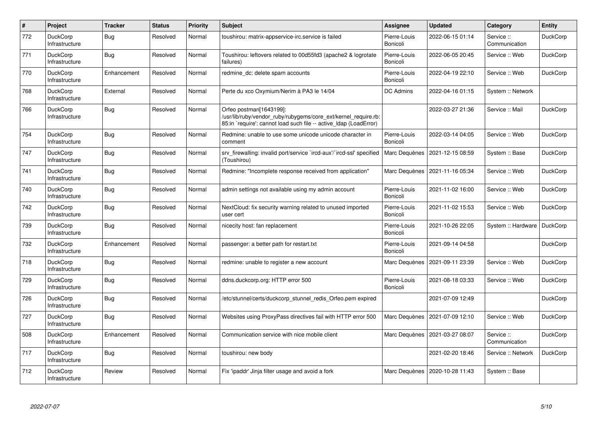| #   | Project                           | <b>Tracker</b> | <b>Status</b> | Priority | <b>Subject</b>                                                                                                                                                 | Assignee                 | <b>Updated</b>   | Category                    | Entity          |
|-----|-----------------------------------|----------------|---------------|----------|----------------------------------------------------------------------------------------------------------------------------------------------------------------|--------------------------|------------------|-----------------------------|-----------------|
| 772 | <b>DuckCorp</b><br>Infrastructure | <b>Bug</b>     | Resolved      | Normal   | toushirou: matrix-appservice-irc.service is failed                                                                                                             | Pierre-Louis<br>Bonicoli | 2022-06-15 01:14 | Service ::<br>Communication | DuckCorp        |
| 771 | <b>DuckCorp</b><br>Infrastructure | Bug            | Resolved      | Normal   | Toushirou: leftovers related to 00d55fd3 (apache2 & logrotate<br>failures)                                                                                     | Pierre-Louis<br>Bonicoli | 2022-06-05 20:45 | Service :: Web              | <b>DuckCorp</b> |
| 770 | <b>DuckCorp</b><br>Infrastructure | Enhancement    | Resolved      | Normal   | redmine dc: delete spam accounts                                                                                                                               | Pierre-Louis<br>Bonicoli | 2022-04-19 22:10 | Service: Web                | <b>DuckCorp</b> |
| 768 | <b>DuckCorp</b><br>Infrastructure | External       | Resolved      | Normal   | Perte du xco Oxymium/Nerim à PA3 le 14/04                                                                                                                      | <b>DC Admins</b>         | 2022-04-16 01:15 | System :: Network           |                 |
| 766 | DuckCorp<br>Infrastructure        | Bug            | Resolved      | Normal   | Orfeo postman[1643199]:<br>/usr/lib/ruby/vendor ruby/rubygems/core ext/kernel require.rb:<br>85:in `require': cannot load such file -- active Idap (LoadError) |                          | 2022-03-27 21:36 | Service :: Mail             | DuckCorp        |
| 754 | DuckCorp<br>Infrastructure        | <b>Bug</b>     | Resolved      | Normal   | Redmine: unable to use some unicode unicode character in<br>comment                                                                                            | Pierre-Louis<br>Bonicoli | 2022-03-14 04:05 | Service: Web                | DuckCorp        |
| 747 | <b>DuckCorp</b><br>Infrastructure | <b>Bug</b>     | Resolved      | Normal   | srv firewalling: invalid port/service `ircd-aux'/`ircd-ssl' specified<br>(Toushirou)                                                                           | Marc Dequènes            | 2021-12-15 08:59 | System :: Base              | <b>DuckCorp</b> |
| 741 | <b>DuckCorp</b><br>Infrastructure | <b>Bug</b>     | Resolved      | Normal   | Redmine: "Incomplete response received from application"                                                                                                       | Marc Dequènes            | 2021-11-16 05:34 | Service: Web                | <b>DuckCorp</b> |
| 740 | <b>DuckCorp</b><br>Infrastructure | <b>Bug</b>     | Resolved      | Normal   | admin settings not available using my admin account                                                                                                            | Pierre-Louis<br>Bonicoli | 2021-11-02 16:00 | Service: Web                | <b>DuckCorp</b> |
| 742 | <b>DuckCorp</b><br>Infrastructure | <b>Bug</b>     | Resolved      | Normal   | NextCloud: fix security warning related to unused imported<br>user cert                                                                                        | Pierre-Louis<br>Bonicoli | 2021-11-02 15:53 | Service: Web                | <b>DuckCorp</b> |
| 739 | <b>DuckCorp</b><br>Infrastructure | <b>Bug</b>     | Resolved      | Normal   | nicecity host: fan replacement                                                                                                                                 | Pierre-Louis<br>Bonicoli | 2021-10-26 22:05 | System :: Hardware          | <b>DuckCorp</b> |
| 732 | <b>DuckCorp</b><br>Infrastructure | Enhancement    | Resolved      | Normal   | passenger: a better path for restart.txt                                                                                                                       | Pierre-Louis<br>Bonicoli | 2021-09-14 04:58 |                             | <b>DuckCorp</b> |
| 718 | <b>DuckCorp</b><br>Infrastructure | Bug            | Resolved      | Normal   | redmine: unable to register a new account                                                                                                                      | Marc Dequènes            | 2021-09-11 23:39 | Service: Web                | <b>DuckCorp</b> |
| 729 | <b>DuckCorp</b><br>Infrastructure | <b>Bug</b>     | Resolved      | Normal   | ddns.duckcorp.org: HTTP error 500                                                                                                                              | Pierre-Louis<br>Bonicoli | 2021-08-18 03:33 | Service: Web                | DuckCorp        |
| 726 | <b>DuckCorp</b><br>Infrastructure | Bug            | Resolved      | Normal   | /etc/stunnel/certs/duckcorp stunnel redis Orfeo.pem expired                                                                                                    |                          | 2021-07-09 12:49 |                             | DuckCorp        |
| 727 | <b>DuckCorp</b><br>Infrastructure | Bug            | Resolved      | Normal   | Websites using ProxyPass directives fail with HTTP error 500                                                                                                   | Marc Dequènes            | 2021-07-09 12:10 | Service: Web                | <b>DuckCorp</b> |
| 508 | <b>DuckCorp</b><br>Infrastructure | Enhancement    | Resolved      | Normal   | Communication service with nice mobile client                                                                                                                  | Marc Dequènes            | 2021-03-27 08:07 | Service ::<br>Communication | <b>DuckCorp</b> |
| 717 | <b>DuckCorp</b><br>Infrastructure | <b>Bug</b>     | Resolved      | Normal   | toushirou: new body                                                                                                                                            |                          | 2021-02-20 18:46 | Service :: Network          | <b>DuckCorp</b> |
| 712 | <b>DuckCorp</b><br>Infrastructure | Review         | Resolved      | Normal   | Fix 'ipaddr' Jinja filter usage and avoid a fork                                                                                                               | Marc Dequènes            | 2020-10-28 11:43 | System :: Base              |                 |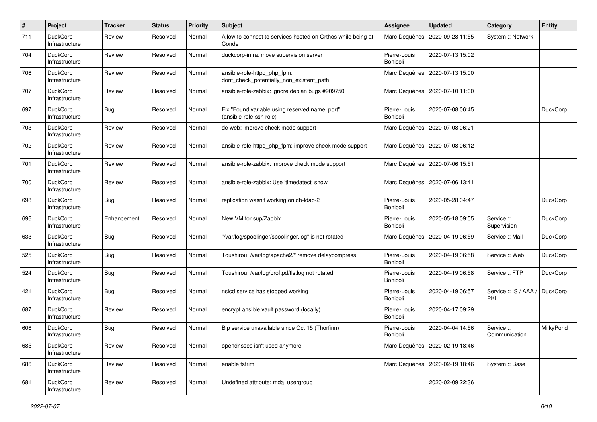| #   | Project                           | <b>Tracker</b> | <b>Status</b> | <b>Priority</b> | <b>Subject</b>                                                            | <b>Assignee</b>          | <b>Updated</b>                   | Category                    | <b>Entity</b> |
|-----|-----------------------------------|----------------|---------------|-----------------|---------------------------------------------------------------------------|--------------------------|----------------------------------|-----------------------------|---------------|
| 711 | DuckCorp<br>Infrastructure        | Review         | Resolved      | Normal          | Allow to connect to services hosted on Orthos while being at<br>Conde     | Marc Dequènes            | 2020-09-28 11:55                 | System :: Network           |               |
| 704 | DuckCorp<br>Infrastructure        | Review         | Resolved      | Normal          | duckcorp-infra: move supervision server                                   | Pierre-Louis<br>Bonicoli | 2020-07-13 15:02                 |                             |               |
| 706 | DuckCorp<br>Infrastructure        | Review         | Resolved      | Normal          | ansible-role-httpd_php_fpm:<br>dont_check_potentially_non_existent_path   | Marc Dequènes            | 2020-07-13 15:00                 |                             |               |
| 707 | <b>DuckCorp</b><br>Infrastructure | Review         | Resolved      | Normal          | ansible-role-zabbix: ignore debian bugs #909750                           | Marc Dequènes            | 2020-07-10 11:00                 |                             |               |
| 697 | DuckCorp<br>Infrastructure        | Bug            | Resolved      | Normal          | Fix "Found variable using reserved name: port"<br>(ansible-role-ssh role) | Pierre-Louis<br>Bonicoli | 2020-07-08 06:45                 |                             | DuckCorp      |
| 703 | DuckCorp<br>Infrastructure        | Review         | Resolved      | Normal          | dc-web: improve check mode support                                        | Marc Dequènes            | 2020-07-08 06:21                 |                             |               |
| 702 | DuckCorp<br>Infrastructure        | Review         | Resolved      | Normal          | ansible-role-httpd_php_fpm: improve check mode support                    | Marc Dequènes            | 2020-07-08 06:12                 |                             |               |
| 701 | DuckCorp<br>Infrastructure        | Review         | Resolved      | Normal          | ansible-role-zabbix: improve check mode support                           | Marc Dequènes            | 2020-07-06 15:51                 |                             |               |
| 700 | DuckCorp<br>Infrastructure        | Review         | Resolved      | Normal          | ansible-role-zabbix: Use 'timedatectl show'                               | Marc Dequènes            | 2020-07-06 13:41                 |                             |               |
| 698 | DuckCorp<br>Infrastructure        | Bug            | Resolved      | Normal          | replication wasn't working on db-Idap-2                                   | Pierre-Louis<br>Bonicoli | 2020-05-28 04:47                 |                             | DuckCorp      |
| 696 | <b>DuckCorp</b><br>Infrastructure | Enhancement    | Resolved      | Normal          | New VM for sup/Zabbix                                                     | Pierre-Louis<br>Bonicoli | 2020-05-18 09:55                 | Service ::<br>Supervision   | DuckCorp      |
| 633 | DuckCorp<br>Infrastructure        | <b>Bug</b>     | Resolved      | Normal          | "/var/log/spoolinger/spoolinger.log" is not rotated                       | Marc Dequènes            | 2020-04-19 06:59                 | Service :: Mail             | DuckCorp      |
| 525 | DuckCorp<br>Infrastructure        | Bug            | Resolved      | Normal          | Toushirou: /var/log/apache2/* remove delaycompress                        | Pierre-Louis<br>Bonicoli | 2020-04-19 06:58                 | Service: Web                | DuckCorp      |
| 524 | DuckCorp<br>Infrastructure        | Bug            | Resolved      | Normal          | Toushirou: /var/log/proftpd/tls.log not rotated                           | Pierre-Louis<br>Bonicoli | 2020-04-19 06:58                 | Service :: FTP              | DuckCorp      |
| 421 | DuckCorp<br>Infrastructure        | Bug            | Resolved      | Normal          | nslcd service has stopped working                                         | Pierre-Louis<br>Bonicoli | 2020-04-19 06:57                 | Service :: IS / AAA<br>PKI  | DuckCorp      |
| 687 | DuckCorp<br>Infrastructure        | Review         | Resolved      | Normal          | encrypt ansible vault password (locally)                                  | Pierre-Louis<br>Bonicoli | 2020-04-17 09:29                 |                             |               |
| 606 | <b>DuckCorp</b><br>Infrastructure | Bug            | Resolved      | Normal          | Bip service unavailable since Oct 15 (Thorfinn)                           | Pierre-Louis<br>Bonicoli | 2020-04-04 14:56                 | Service ::<br>Communication | MilkyPond     |
| 685 | DuckCorp<br>Infrastructure        | Review         | Resolved      | Normal          | opendnssec isn't used anymore                                             |                          | Marc Dequènes   2020-02-19 18:46 |                             |               |
| 686 | DuckCorp<br>Infrastructure        | Review         | Resolved      | Normal          | enable fstrim                                                             |                          | Marc Dequènes   2020-02-19 18:46 | System :: Base              |               |
| 681 | DuckCorp<br>Infrastructure        | Review         | Resolved      | Normal          | Undefined attribute: mda usergroup                                        |                          | 2020-02-09 22:36                 |                             |               |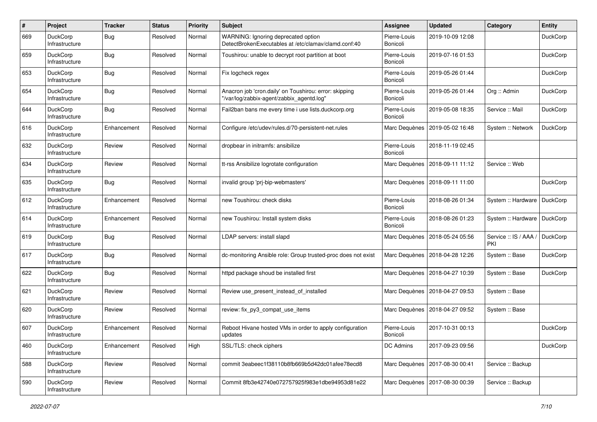| $\#$ | Project                           | <b>Tracker</b> | <b>Status</b> | <b>Priority</b> | Subject                                                                                             | <b>Assignee</b>          | <b>Updated</b>   | Category                     | <b>Entity</b>   |
|------|-----------------------------------|----------------|---------------|-----------------|-----------------------------------------------------------------------------------------------------|--------------------------|------------------|------------------------------|-----------------|
| 669  | DuckCorp<br>Infrastructure        | Bug            | Resolved      | Normal          | WARNING: Ignoring deprecated option<br>DetectBrokenExecutables at /etc/clamav/clamd.conf:40         | Pierre-Louis<br>Bonicoli | 2019-10-09 12:08 |                              | <b>DuckCorp</b> |
| 659  | DuckCorp<br>Infrastructure        | Bug            | Resolved      | Normal          | Toushirou: unable to decrypt root partition at boot                                                 | Pierre-Louis<br>Bonicoli | 2019-07-16 01:53 |                              | <b>DuckCorp</b> |
| 653  | DuckCorp<br>Infrastructure        | Bug            | Resolved      | Normal          | Fix logcheck regex                                                                                  | Pierre-Louis<br>Bonicoli | 2019-05-26 01:44 |                              | <b>DuckCorp</b> |
| 654  | <b>DuckCorp</b><br>Infrastructure | <b>Bug</b>     | Resolved      | Normal          | Anacron job 'cron.daily' on Toushirou: error: skipping<br>"/var/log/zabbix-agent/zabbix_agentd.log" | Pierre-Louis<br>Bonicoli | 2019-05-26 01:44 | Org :: Admin                 | <b>DuckCorp</b> |
| 644  | DuckCorp<br>Infrastructure        | Bug            | Resolved      | Normal          | Fail2ban bans me every time i use lists.duckcorp.org                                                | Pierre-Louis<br>Bonicoli | 2019-05-08 18:35 | Service :: Mail              | <b>DuckCorp</b> |
| 616  | DuckCorp<br>Infrastructure        | Enhancement    | Resolved      | Normal          | Configure /etc/udev/rules.d/70-persistent-net.rules                                                 | Marc Dequènes            | 2019-05-02 16:48 | System :: Network            | <b>DuckCorp</b> |
| 632  | <b>DuckCorp</b><br>Infrastructure | Review         | Resolved      | Normal          | dropbear in initramfs: ansibilize                                                                   | Pierre-Louis<br>Bonicoli | 2018-11-19 02:45 |                              |                 |
| 634  | DuckCorp<br>Infrastructure        | Review         | Resolved      | Normal          | tt-rss Ansibilize logrotate configuration                                                           | Marc Dequènes            | 2018-09-11 11:12 | Service: Web                 |                 |
| 635  | <b>DuckCorp</b><br>Infrastructure | Bug            | Resolved      | Normal          | invalid group 'prj-bip-webmasters'                                                                  | Marc Dequènes            | 2018-09-11 11:00 |                              | DuckCorp        |
| 612  | DuckCorp<br>Infrastructure        | Enhancement    | Resolved      | Normal          | new Toushirou: check disks                                                                          | Pierre-Louis<br>Bonicoli | 2018-08-26 01:34 | System :: Hardware           | DuckCorp        |
| 614  | <b>DuckCorp</b><br>Infrastructure | Enhancement    | Resolved      | Normal          | new Toushirou: Install system disks                                                                 | Pierre-Louis<br>Bonicoli | 2018-08-26 01:23 | System :: Hardware           | DuckCorp        |
| 619  | DuckCorp<br>Infrastructure        | Bug            | Resolved      | Normal          | LDAP servers: install slapd                                                                         | Marc Dequènes            | 2018-05-24 05:56 | Service :: IS / AAA /<br>PKI | DuckCorp        |
| 617  | <b>DuckCorp</b><br>Infrastructure | Bug            | Resolved      | Normal          | dc-monitoring Ansible role: Group trusted-proc does not exist                                       | Marc Dequènes            | 2018-04-28 12:26 | System :: Base               | <b>DuckCorp</b> |
| 622  | DuckCorp<br>Infrastructure        | Bug            | Resolved      | Normal          | httpd package shoud be installed first                                                              | Marc Dequènes            | 2018-04-27 10:39 | System :: Base               | DuckCorp        |
| 621  | DuckCorp<br>Infrastructure        | Review         | Resolved      | Normal          | Review use present instead of installed                                                             | Marc Dequènes            | 2018-04-27 09:53 | System :: Base               |                 |
| 620  | DuckCorp<br>Infrastructure        | Review         | Resolved      | Normal          | review: fix_py3_compat_use_items                                                                    | Marc Dequènes            | 2018-04-27 09:52 | System :: Base               |                 |
| 607  | DuckCorp<br>Infrastructure        | Enhancement    | Resolved      | Normal          | Reboot Hivane hosted VMs in order to apply configuration<br>updates                                 | Pierre-Louis<br>Bonicoli | 2017-10-31 00:13 |                              | <b>DuckCorp</b> |
| 460  | DuckCorp<br>Infrastructure        | Enhancement    | Resolved      | High            | SSL/TLS: check ciphers                                                                              | DC Admins                | 2017-09-23 09:56 |                              | <b>DuckCorp</b> |
| 588  | DuckCorp<br>Infrastructure        | Review         | Resolved      | Normal          | commit 3eabeec1f38110b8fb669b5d42dc01afee78ecd8                                                     | Marc Dequènes            | 2017-08-30 00:41 | Service :: Backup            |                 |
| 590  | DuckCorp<br>Infrastructure        | Review         | Resolved      | Normal          | Commit 8fb3e42740e072757925f983e1dbe94953d81e22                                                     | Marc Dequènes            | 2017-08-30 00:39 | Service :: Backup            |                 |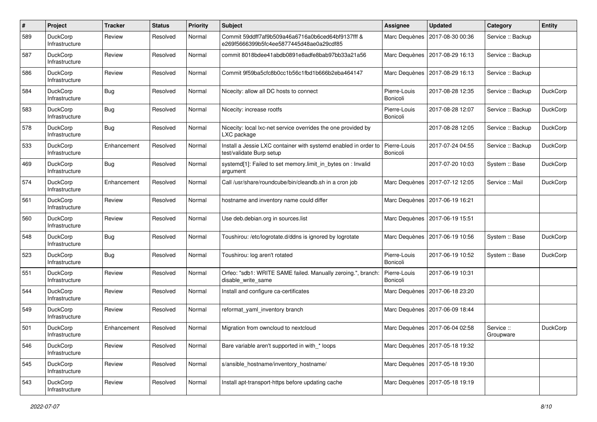| $\sharp$ | Project                           | <b>Tracker</b> | <b>Status</b> | <b>Priority</b> | <b>Subject</b>                                                                                | <b>Assignee</b>          | <b>Updated</b>   | Category                | Entity          |
|----------|-----------------------------------|----------------|---------------|-----------------|-----------------------------------------------------------------------------------------------|--------------------------|------------------|-------------------------|-----------------|
| 589      | DuckCorp<br>Infrastructure        | Review         | Resolved      | Normal          | Commit 59ddff7af9b509a46a6716a0b6ced64bf9137fff &<br>e269f5666399b5fc4ee5877445d48ae0a29cdf85 | Marc Dequènes            | 2017-08-30 00:36 | Service :: Backup       |                 |
| 587      | DuckCorp<br>Infrastructure        | Review         | Resolved      | Normal          | commit 8018bdee41abdb0891e8adfe8bab97bb33a21a56                                               | Marc Dequènes            | 2017-08-29 16:13 | Service :: Backup       |                 |
| 586      | DuckCorp<br>Infrastructure        | Review         | Resolved      | Normal          | Commit 9f59ba5cfc8b0cc1b56c1fbd1b666b2eba464147                                               | Marc Dequènes            | 2017-08-29 16:13 | Service :: Backup       |                 |
| 584      | <b>DuckCorp</b><br>Infrastructure | <b>Bug</b>     | Resolved      | Normal          | Nicecity: allow all DC hosts to connect                                                       | Pierre-Louis<br>Bonicoli | 2017-08-28 12:35 | Service :: Backup       | <b>DuckCorp</b> |
| 583      | DuckCorp<br>Infrastructure        | Bug            | Resolved      | Normal          | Nicecity: increase rootfs                                                                     | Pierre-Louis<br>Bonicoli | 2017-08-28 12:07 | Service :: Backup       | <b>DuckCorp</b> |
| 578      | DuckCorp<br>Infrastructure        | Bug            | Resolved      | Normal          | Nicecity: local lxc-net service overrides the one provided by<br>LXC package                  |                          | 2017-08-28 12:05 | Service :: Backup       | <b>DuckCorp</b> |
| 533      | DuckCorp<br>Infrastructure        | Enhancement    | Resolved      | Normal          | Install a Jessie LXC container with systemd enabled in order to<br>test/validate Burp setup   | Pierre-Louis<br>Bonicoli | 2017-07-24 04:55 | Service :: Backup       | <b>DuckCorp</b> |
| 469      | DuckCorp<br>Infrastructure        | Bug            | Resolved      | Normal          | systemd[1]: Failed to set memory.limit_in_bytes on : Invalid<br>argument                      |                          | 2017-07-20 10:03 | System :: Base          | <b>DuckCorp</b> |
| 574      | <b>DuckCorp</b><br>Infrastructure | Enhancement    | Resolved      | Normal          | Call /usr/share/roundcube/bin/cleandb.sh in a cron job                                        | Marc Dequènes            | 2017-07-12 12:05 | Service :: Mail         | <b>DuckCorp</b> |
| 561      | DuckCorp<br>Infrastructure        | Review         | Resolved      | Normal          | hostname and inventory name could differ                                                      | Marc Dequènes            | 2017-06-19 16:21 |                         |                 |
| 560      | <b>DuckCorp</b><br>Infrastructure | Review         | Resolved      | Normal          | Use deb.debian.org in sources.list                                                            | Marc Dequènes            | 2017-06-19 15:51 |                         |                 |
| 548      | DuckCorp<br>Infrastructure        | Bug            | Resolved      | Normal          | Toushirou: /etc/logrotate.d/ddns is ignored by logrotate                                      | Marc Dequènes            | 2017-06-19 10:56 | System :: Base          | <b>DuckCorp</b> |
| 523      | DuckCorp<br>Infrastructure        | Bug            | Resolved      | Normal          | Toushirou: log aren't rotated                                                                 | Pierre-Louis<br>Bonicoli | 2017-06-19 10:52 | System :: Base          | <b>DuckCorp</b> |
| 551      | DuckCorp<br>Infrastructure        | Review         | Resolved      | Normal          | Orfeo: "sdb1: WRITE SAME failed. Manually zeroing.", branch<br>disable write same             | Pierre-Louis<br>Bonicoli | 2017-06-19 10:31 |                         |                 |
| 544      | DuckCorp<br>Infrastructure        | Review         | Resolved      | Normal          | Install and configure ca-certificates                                                         | Marc Dequènes            | 2017-06-18 23:20 |                         |                 |
| 549      | DuckCorp<br>Infrastructure        | Review         | Resolved      | Normal          | reformat yaml inventory branch                                                                | Marc Dequènes            | 2017-06-09 18:44 |                         |                 |
| 501      | DuckCorp<br>Infrastructure        | Enhancement    | Resolved      | Normal          | Migration from owncloud to nextcloud                                                          | Marc Dequènes            | 2017-06-04 02:58 | Service ::<br>Groupware | <b>DuckCorp</b> |
| 546      | DuckCorp<br>Infrastructure        | Review         | Resolved      | Normal          | Bare variable aren't supported in with_* loops                                                | Marc Dequènes            | 2017-05-18 19:32 |                         |                 |
| 545      | DuckCorp<br>Infrastructure        | Review         | Resolved      | Normal          | s/ansible hostname/inventory hostname/                                                        | Marc Dequènes            | 2017-05-18 19:30 |                         |                 |
| 543      | DuckCorp<br>Infrastructure        | Review         | Resolved      | Normal          | Install apt-transport-https before updating cache                                             | Marc Dequènes            | 2017-05-18 19:19 |                         |                 |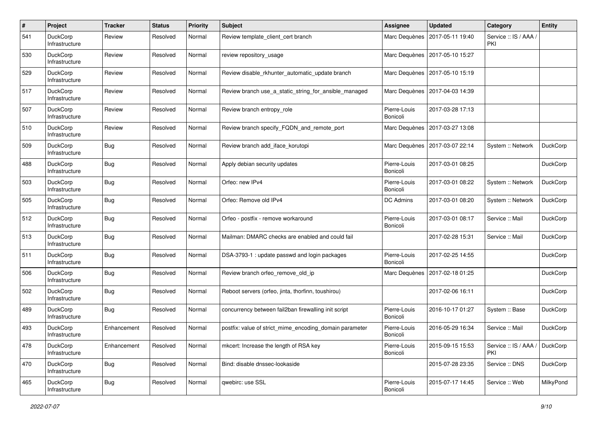| #   | Project                           | <b>Tracker</b> | <b>Status</b> | <b>Priority</b> | <b>Subject</b>                                          | <b>Assignee</b>          | <b>Updated</b>                   | Category                     | <b>Entity</b>   |
|-----|-----------------------------------|----------------|---------------|-----------------|---------------------------------------------------------|--------------------------|----------------------------------|------------------------------|-----------------|
| 541 | <b>DuckCorp</b><br>Infrastructure | Review         | Resolved      | Normal          | Review template client cert branch                      | Marc Dequènes            | 2017-05-11 19:40                 | Service :: IS / AAA /<br>PKI |                 |
| 530 | <b>DuckCorp</b><br>Infrastructure | Review         | Resolved      | Normal          | review repository usage                                 | Marc Dequènes            | 2017-05-10 15:27                 |                              |                 |
| 529 | <b>DuckCorp</b><br>Infrastructure | Review         | Resolved      | Normal          | Review disable_rkhunter_automatic_update branch         | Marc Dequènes            | 2017-05-10 15:19                 |                              |                 |
| 517 | <b>DuckCorp</b><br>Infrastructure | Review         | Resolved      | Normal          | Review branch use a static string for ansible managed   | Marc Dequènes            | 2017-04-03 14:39                 |                              |                 |
| 507 | <b>DuckCorp</b><br>Infrastructure | Review         | Resolved      | Normal          | Review branch entropy role                              | Pierre-Louis<br>Bonicoli | 2017-03-28 17:13                 |                              |                 |
| 510 | <b>DuckCorp</b><br>Infrastructure | Review         | Resolved      | Normal          | Review branch specify_FQDN_and_remote_port              | Marc Dequènes            | 2017-03-27 13:08                 |                              |                 |
| 509 | <b>DuckCorp</b><br>Infrastructure | Bug            | Resolved      | Normal          | Review branch add iface korutopi                        |                          | Marc Dequènes   2017-03-07 22:14 | System :: Network            | DuckCorp        |
| 488 | <b>DuckCorp</b><br>Infrastructure | Bug            | Resolved      | Normal          | Apply debian security updates                           | Pierre-Louis<br>Bonicoli | 2017-03-01 08:25                 |                              | DuckCorp        |
| 503 | <b>DuckCorp</b><br>Infrastructure | Bug            | Resolved      | Normal          | Orfeo: new IPv4                                         | Pierre-Louis<br>Bonicoli | 2017-03-01 08:22                 | System :: Network            | <b>DuckCorp</b> |
| 505 | <b>DuckCorp</b><br>Infrastructure | Bug            | Resolved      | Normal          | Orfeo: Remove old IPv4                                  | DC Admins                | 2017-03-01 08:20                 | System :: Network            | <b>DuckCorp</b> |
| 512 | <b>DuckCorp</b><br>Infrastructure | <b>Bug</b>     | Resolved      | Normal          | Orfeo - postfix - remove workaround                     | Pierre-Louis<br>Bonicoli | 2017-03-01 08:17                 | Service :: Mail              | <b>DuckCorp</b> |
| 513 | <b>DuckCorp</b><br>Infrastructure | Bug            | Resolved      | Normal          | Mailman: DMARC checks are enabled and could fail        |                          | 2017-02-28 15:31                 | Service :: Mail              | DuckCorp        |
| 511 | <b>DuckCorp</b><br>Infrastructure | Bug            | Resolved      | Normal          | DSA-3793-1 : update passwd and login packages           | Pierre-Louis<br>Bonicoli | 2017-02-25 14:55                 |                              | DuckCorp        |
| 506 | DuckCorp<br>Infrastructure        | Bug            | Resolved      | Normal          | Review branch orfeo_remove_old_ip                       |                          | Marc Dequènes   2017-02-18 01:25 |                              | DuckCorp        |
| 502 | DuckCorp<br>Infrastructure        | Bug            | Resolved      | Normal          | Reboot servers (orfeo, jinta, thorfinn, toushirou)      |                          | 2017-02-06 16:11                 |                              | DuckCorp        |
| 489 | DuckCorp<br>Infrastructure        | Bug            | Resolved      | Normal          | concurrency between fail2ban firewalling init script    | Pierre-Louis<br>Bonicoli | 2016-10-17 01:27                 | System :: Base               | DuckCorp        |
| 493 | <b>DuckCorp</b><br>Infrastructure | Enhancement    | Resolved      | Normal          | postfix: value of strict_mime_encoding_domain parameter | Pierre-Louis<br>Bonicoli | 2016-05-29 16:34                 | Service :: Mail              | <b>DuckCorp</b> |
| 478 | DuckCorp<br>Infrastructure        | Enhancement    | Resolved      | Normal          | mkcert: Increase the length of RSA key                  | Pierre-Louis<br>Bonicoli | 2015-09-15 15:53                 | Service :: IS / AAA /<br>PKI | DuckCorp        |
| 470 | DuckCorp<br>Infrastructure        | <b>Bug</b>     | Resolved      | Normal          | Bind: disable dnssec-lookaside                          |                          | 2015-07-28 23:35                 | Service: DNS                 | DuckCorp        |
| 465 | <b>DuckCorp</b><br>Infrastructure | <b>Bug</b>     | Resolved      | Normal          | qwebirc: use SSL                                        | Pierre-Louis<br>Bonicoli | 2015-07-17 14:45                 | Service :: Web               | MilkyPond       |